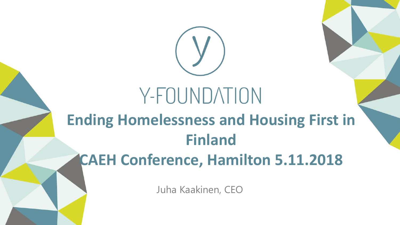

## Y-FOUNDATION **Ending Homelessness and Housing First in Finland CAEH Conference, Hamilton 5.11.2018**

Juha Kaakinen, CEO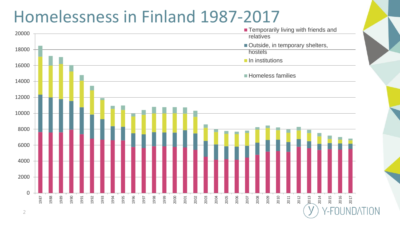#### Homelessness in Finland 1987-2017

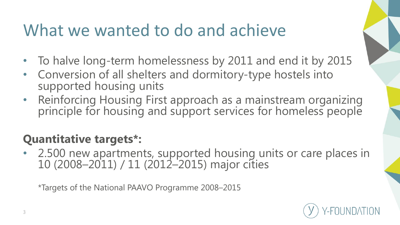### What we wanted to do and achieve

- To halve long-term homelessness by 2011 and end it by 2015
- Conversion of all shelters and dormitory-type hostels into supported housing units
- Reinforcing Housing First approach as a mainstream organizing principle for housing and support services for homeless people

#### **Quantitative targets\*:**

• 2.500 new apartments, supported housing units or care places in 10 (2008–2011) / 11 (2012–2015) major cities

\*Targets of the National PAAVO Programme 2008–2015

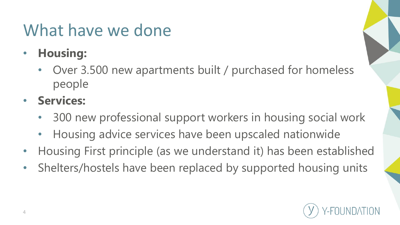### What have we done

- **Housing:** 
	- Over 3.500 new apartments built / purchased for homeless people
- **Services:** 
	- 300 new professional support workers in housing social work
	- Housing advice services have been upscaled nationwide
- Housing First principle (as we understand it) has been established
- Shelters/hostels have been replaced by supported housing units

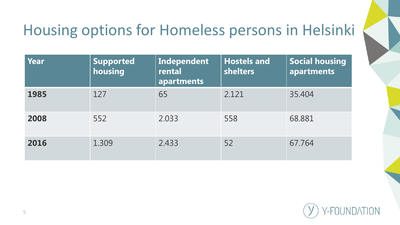#### Housing options for Homeless persons in Helsinki

| Year | <b>Supported</b><br>housing | <b>Independent</b><br>rental<br>apartments | <b>Hostels and</b><br>shelters | <b>Social housing</b><br>apartments |
|------|-----------------------------|--------------------------------------------|--------------------------------|-------------------------------------|
| 1985 | 127                         | 65                                         | 2.121                          | 35.404                              |
| 2008 | 552                         | 2.033                                      | 558                            | 68.881                              |
| 2016 | 1.309                       | 2.433                                      | 52                             | 67.764                              |

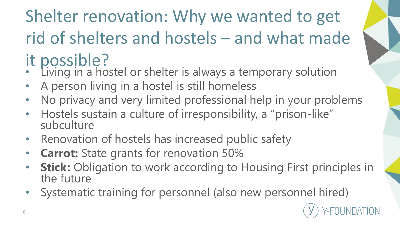Shelter renovation: Why we wanted to get rid of shelters and hostels – and what made it possible?

- Living in a hostel or shelter is always a temporary solution
- A person living in a hostel is still homeless
- No privacy and very limited professional help in your problems
- Hostels sustain a culture of irresponsibility, a "prison-like" subculture
- Renovation of hostels has increased public safety
- **Carrot:** State grants for renovation 50%
- **Stick:** Obligation to work according to Housing First principles in the future
- Systematic training for personnel (also new personnel hired)

6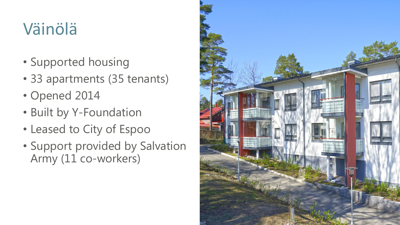## Väinölä

- Supported housing
- 33 apartments (35 tenants)
- Opened 2014
- Built by Y-Foundation
- Leased to City of Espoo
- Support provided by Salvation Army (11 co-workers)

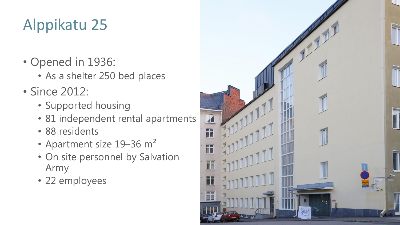#### Alppikatu 25

- Opened in 1936:
	- As a shelter 250 bed places
- Since 2012:
	- Supported housing
	- 81 independent rental apartments
	- 88 residents
	- Apartment size 19-36 m<sup>2</sup>
	- On site personnel by Salvation Army
	- 22 employees

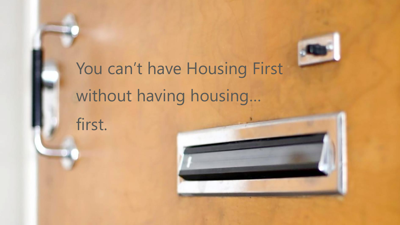

# You can't have Housing First without having housing…

first.

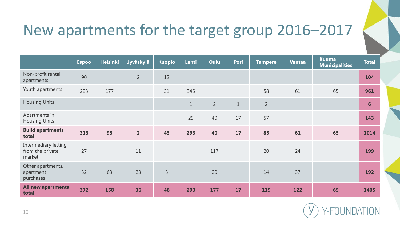#### New apartments for the target group 2016–2017

|                                                    | <b>Espoo</b> | <b>Helsinki</b> | Jyväskylä      | <b>Kuopio</b> | Lahti        | Oulu           | Pori  | <b>Tampere</b> | <b>Vantaa</b> | <b>Kuuma</b><br><b>Municipalities</b> | <b>Total</b>   |
|----------------------------------------------------|--------------|-----------------|----------------|---------------|--------------|----------------|-------|----------------|---------------|---------------------------------------|----------------|
| Non-profit rental<br>apartments                    | 90           |                 | $\overline{2}$ | 12            |              |                |       |                |               |                                       | 104            |
| Youth apartments                                   | 223          | 177             |                | 31            | 346          |                |       | 58             | 61            | 65                                    | 961            |
| <b>Housing Units</b>                               |              |                 |                |               | $\mathbf{1}$ | $\overline{2}$ | $1\,$ | $\overline{2}$ |               |                                       | $6\phantom{1}$ |
| Apartments in<br><b>Housing Units</b>              |              |                 |                |               | 29           | 40             | 17    | 57             |               |                                       | 143            |
| <b>Build apartments</b><br>total                   | 313          | 95              | 2 <sup>1</sup> | 43            | 293          | 40             | 17    | 85             | 61            | 65                                    | 1014           |
| Intermediary letting<br>from the private<br>market | 27           |                 | 11             |               |              | 117            |       | 20             | 24            |                                       | <b>199</b>     |
| Other apartments,<br>apartment<br>purchases        | 32           | 63              | 23             | 3             |              | 20             |       | 14             | 37            |                                       | 192            |
| <b>All new apartments</b><br>total                 | 372          | 158             | 36             | 46            | 293          | 177            | 17    | 119            | 122           | 65                                    | 1405           |

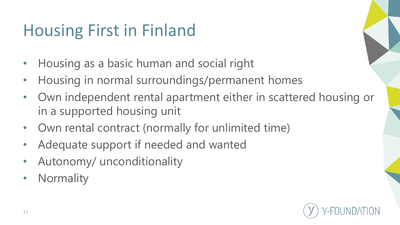## Housing First in Finland

- Housing as a basic human and social right
- Housing in normal surroundings/permanent homes
- Own independent rental apartment either in scattered housing or in a supported housing unit
- Own rental contract (normally for unlimited time)
- Adequate support if needed and wanted
- Autonomy/ unconditionality
- Normality

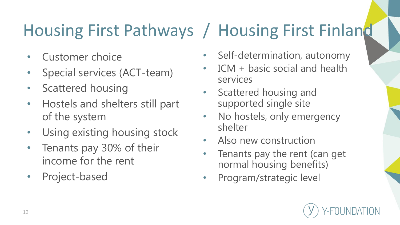## Housing First Pathways / Housing First Finland

- Customer choice
- Special services (ACT-team)
- Scattered housing
- Hostels and shelters still part of the system
- Using existing housing stock
- Tenants pay 30% of their income for the rent
- Project-based
- Self-determination, autonomy
- ICM + basic social and health services
- Scattered housing and supported single site
- No hostels, only emergency shelter
- Also new construction
- Tenants pay the rent (can get normal housing benefits)
- Program/strategic level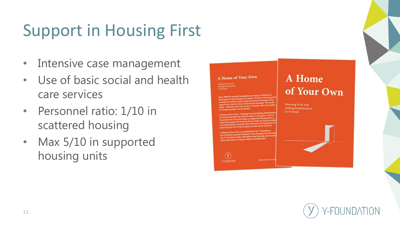## Support in Housing First

- Intensive case management
- Use of basic social and health care services
- Personnel ratio: 1/10 in scattered housing
- Max 5/10 in supported housing units



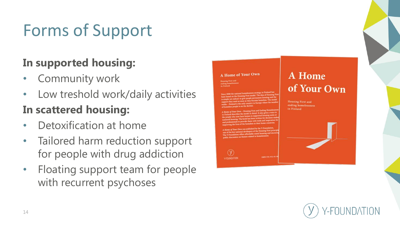## Forms of Support

#### **In supported housing:**

- **Community work**
- Low treshold work/daily activities

#### **In scattered housing:**

- Detoxification at home
- Tailored harm reduction support for people with drug addiction
- Floating support team for people with recurrent psychoses



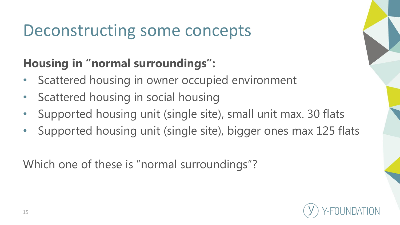#### Deconstructing some concepts

#### **Housing in "normal surroundings":**

- Scattered housing in owner occupied environment
- Scattered housing in social housing
- Supported housing unit (single site), small unit max. 30 flats
- Supported housing unit (single site), bigger ones max 125 flats

Which one of these is "normal surroundings"?

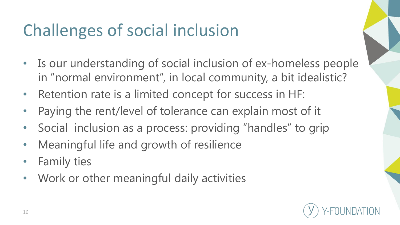## Challenges of social inclusion

- Is our understanding of social inclusion of ex-homeless people in "normal environment", in local community, a bit idealistic?
- Retention rate is a limited concept for success in HF:
- Paying the rent/level of tolerance can explain most of it
- Social inclusion as a process: providing "handles" to grip
- Meaningful life and growth of resilience
- Family ties
- Work or other meaningful daily activities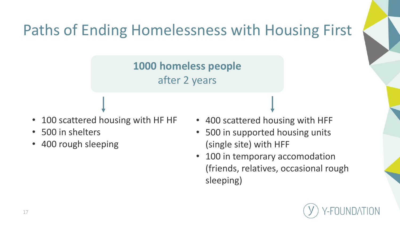#### Paths of Ending Homelessness with Housing First

**1000 homeless people** after 2 years

- 100 scattered housing with HF HF
- 500 in shelters
- 400 rough sleeping
- 400 scattered housing with HFF
- 500 in supported housing units (single site) with HFF
- 100 in temporary accomodation (friends, relatives, occasional rough sleeping)

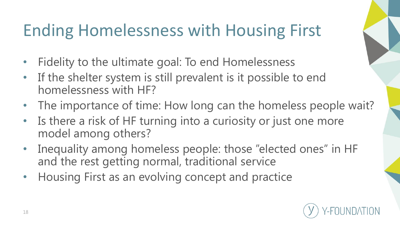## Ending Homelessness with Housing First

- Fidelity to the ultimate goal: To end Homelessness
- If the shelter system is still prevalent is it possible to end homelessness with HF?
- The importance of time: How long can the homeless people wait?
- Is there a risk of HF turning into a curiosity or just one more model among others?
- Inequality among homeless people: those "elected ones" in HF and the rest getting normal, traditional service
- Housing First as an evolving concept and practice

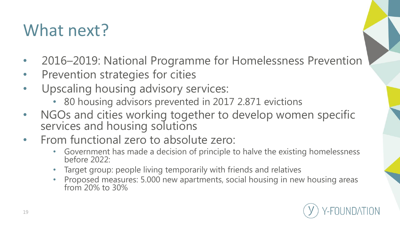### What next?

- 2016–2019: National Programme for Homelessness Prevention
- Prevention strategies for cities
- Upscaling housing advisory services:
	- 80 housing advisors prevented in 2017 2.871 evictions
- NGOs and cities working together to develop women specific services and housing solutions
- From functional zero to absolute zero:
	- Government has made a decision of principle to halve the existing homelessness before 2022:
	- Target group: people living temporarily with friends and relatives
	- Proposed measures: 5.000 new apartments, social housing in new housing areas from 20% to 30%